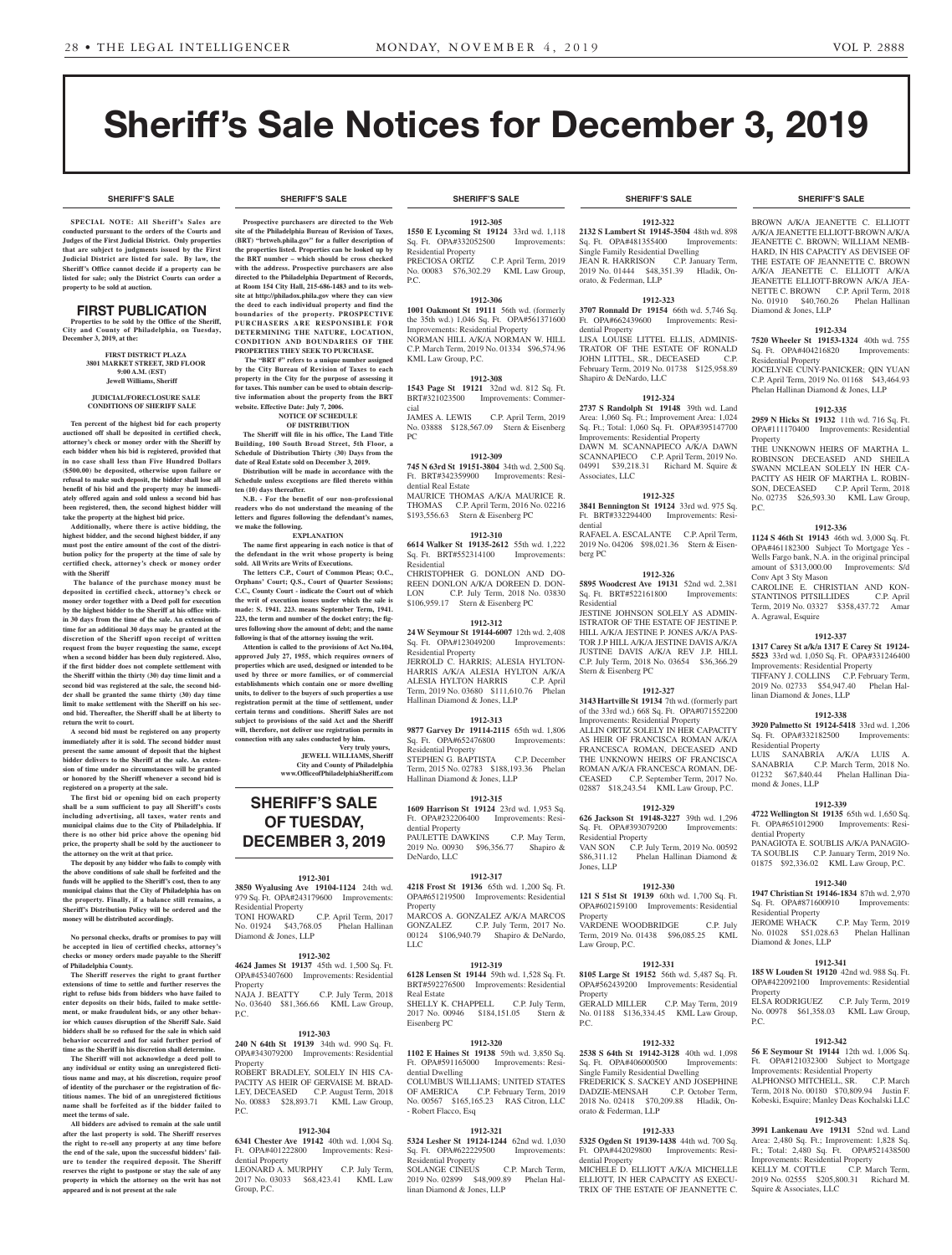**SHERIFF'S SALE SHERIFF'S SALE SHERIFF'S SALE SHERIFF'S SALE SHERIFF'S SALE**

BROWN A/K/A JEANETTE C. ELLIOTT A/K/A JEANETTE ELLIOTT-BROWN A/K/A JEANETTE C. BROWN; WILLIAM NEMB-HARD, IN HIS CAPACITY AS DEVISEE OF THE ESTATE OF JEANNETTE C. BROWN A/K/A JEANETTE C. ELLIOTT A/K/A JEANETTE ELLIOTT-BROWN A/K/A JEA-NETTE C. BROWN C.P. April Term, 2018 No. 01910 \$40,760.26 Phelan Hallinan

**1912-334 7520 Wheeler St 19153-1324** 40th wd. 755 Sq. Ft. OPA#404216820 Improvements:

JOCELYNE CUNY-PANICKER; QIN YUAN C.P. April Term, 2019 No. 01168 \$43,464.93 Phelan Hallinan Diamond & Jones, LLP **1912-335 2959 N Hicks St 19132** 11th wd. 716 Sq. Ft. OPA#111170400 Improvements: Residential

THE UNKNOWN HEIRS OF MARTHA L. ROBINSON DECEASED AND SHEILA SWANN MCLEAN SOLELY IN HER CA-PACITY AS HEIR OF MARTHA L. ROBIN-SON, DECEASED C.P. April Term, 2018 No. 02735 \$26,593.30 KML Law Group,

**1912-336 1124 S 46th St 19143** 46th wd. 3,000 Sq. Ft. OPA#461182300 Subject To Mortgage Yes - Wells Fargo bank, N.A. in the original principal amount of \$313,000.00 Improvements: S/d

CAROLINE E. CHRISTIAN AND KON-STANTINOS PITSILLIDES C.P. April Term, 2019 No. 03327 \$358,437.72 Amar

**1912-337 1317 Carey St a/k/a 1317 E Carey St 19124- 5523** 33rd wd. 1,050 Sq. Ft. OPA#331246400 Improvements: Residential Property TIFFANY J. COLLINS C.P. February Term, 2019 No. 02733 \$54,947.40 Phelan Hal-

**1912-338 3920 Palmetto St 19124-5418** 33rd wd. 1,206 Sq. Ft. OPA#332182500 Improvements:

LUIS SANABRIA A/K/A LUIS A. SANABRIA C.P. March Term, 2018 No.<br>01232 \$67,840.44 Phelan Hallinan Dia-

**1912-339 4722 Wellington St 19135** 65th wd. 1,650 Sq. Ft. OPA#651012900 Improvements: Resi-

PANAGIOTA E. SOUBLIS A/K/A PANAGIO-TA SOUBLIS C.P. January Term, 2019 No. 01875 \$92,336.02 KML Law Group, P.C. **1912-340 1947 Christian St 19146-1834** 87th wd. 2,970 Sq. Ft. OPA#871600910 Improvements:

JEROME WHACK C.P. May Term, 2019 No. 01028 \$51,028.63 Phelan Hallinan

**1912-341 185 W Louden St 19120** 42nd wd. 988 Sq. Ft. OPA#422092100 Improvements: Residential

No. 00978 \$61,358.03 KML Law Group,

**1912-342 56 E Seymour St 19144** 12th wd. 1,006 Sq. Ft. OPA#121032300 Subject to Mortgage Improvements: Residential Property<br>ALPHONSO MITCHELL, SR. C.P. March

Term, 2018 No. 00180 \$70,809.94 Justin F. Kobeski, Esquire; Manley Deas Kochalski LLC **1912-343 3991 Lankenau Ave 19131** 52nd wd. Land Area: 2,480 Sq. Ft.; Improvement: 1,828 Sq. Ft.; Total: 2,480 Sq. Ft. OPA#521438500 Improvements: Residential Property KELLY M. COTTLE C.P. March Term 2019 No. 02555 \$205,800.31 Richard M.

ALPHONSO MITCHELL, SR.

Squire & Associates, LLC

Phelan Hallinan Dia-

C.P. July Term, 2019

Diamond & Jones, LLP

Residential Property

Property

P.C.

Conv Apt 3 Sty Mason

A. Agrawal, Esquire

linan Diamond & Jones, LLP

Residential Property

mond & Jones, LLP

dential Property

Property

Diamond & Jones, LLP

Property<br>ELSA RODRIGUEZ

P.C.

# Sheriff's Sale Notices for December 3, 2019

**SPECIAL NOTE: All Sheriff 's Sales are conducted pursuant to the orders of the Courts and Judges of the First Judicial District. Only properties that are subject to judgments issued by the First Judicial District are listed for sale. By law, the Sheriff's Office cannot decide if a property can be listed for sale; only the District Courts can order a property to be sold at auction.** 

## FIRST PUBLICATION

**Properties to be sold by the Office of the Sheriff, City and County of Philadelphia, on Tuesday, December 3, 2019, at the:** 

#### **FIRST DISTRICT PLAZA 3801 MARKET STREET, 3RD FLOOR 9:00 A.M. (EST) Jewell Williams, Sheriff**

#### **JUDICIAL/FORECLOSURE SALE CONDITIONS OF SHERIFF SALE**

**Ten percent of the highest bid for each property auctioned off shall be deposited in certified check, attorney's check or money order with the Sheriff by each bidder when his bid is registered, provided that in no case shall less than Five Hundred Dollars (\$500.00) be deposited, otherwise upon failure or refusal to make such deposit, the bidder shall lose all benefit of his bid and the property may be immediately offered again and sold unless a second bid has been registered, then, the second highest bidder will take the property at the highest bid price.**

**Additionally, where there is active bidding, the highest bidder, and the second highest bidder, if any must post the entire amount of the cost of the distribution policy for the property at the time of sale by certified check, attorney's check or money order with the Sheriff**

 **The balance of the purchase money must be deposited in certified check, attorney's check or money order together with a Deed poll for execution by the highest bidder to the Sheriff at his office within 30 days from the time of the sale. An extension of time for an additional 30 days may be granted at the discretion of the Sheriff upon receipt of written request from the buyer requesting the same, except when a second bidder has been duly registered. Also, if the first bidder does not complete settlement with the Sheriff within the thirty (30) day time limit and a second bid was registered at the sale, the second bidder shall be granted the same thirty (30) day time limit to make settlement with the Sheriff on his second bid. Thereafter, the Sheriff shall be at liberty to return the writ to court.**

**A second bid must be registered on any property immediately after it is sold. The second bidder must present the same amount of deposit that the highest bidder delivers to the Sheriff at the sale. An extension of time under no circumstances will be granted or honored by the Sheriff whenever a second bid is registered on a property at the sale.** 

**The first bid or opening bid on each property shall be a sum sufficient to pay all Sheriff's costs including advertising, all taxes, water rents and municipal claims due to the City of Philadelphia. If there is no other bid price above the opening bid price, the property shall be sold by the auctioneer to the attorney on the writ at that price.**

**The deposit by any bidder who fails to comply with the above conditions of sale shall be forfeited and the funds will be applied to the Sheriff's cost, then to any municipal claims that the City of Philadelphia has on the property. Finally, if a balance still remains, a Sheriff's Distribution Policy will be ordered and the money will be distributed accordingly.**

**No personal checks, drafts or promises to pay will be accepted in lieu of certified checks, attorney's checks or money orders made payable to the Sheriff of Philadelphia County.**

**The Sheriff reserves the right to grant further extensions of time to settle and further reserves the right to refuse bids from bidders who have failed to enter deposits on their bids, failed to make settlement, or make fraudulent bids, or any other behavior which causes disruption of the Sheriff Sale. Said bidders shall be so refused for the sale in which said behavior occurred and for said further period of time as the Sheriff in his discretion shall determine.**

**The Sheriff will not acknowledge a deed poll to any individual or entity using an unregistered fictitious name and may, at his discretion, require proof of identity of the purchaser or the registration of fictitious names. The bid of an unregistered fictitious name shall be forfeited as if the bidder failed to meet the terms of sale.**

**All bidders are advised to remain at the sale until after the last property is sold. The Sheriff reserves the right to re-sell any property at any time before the end of the sale, upon the successful bidders' failure to tender the required deposit. The Sheriff reserves the right to postpone or stay the sale of any property in which the attorney on the writ has not appeared and is not present at the sale**

**Prospective purchasers are directed to the Web site of the Philadelphia Bureau of Revision of Taxes, (BRT) "brtweb.phila.gov" for a fuller description of the properties listed. Properties can be looked up by the BRT number – which should be cross checked with the address. Prospective purchasers are also directed to the Philadelphia Department of Records, at Room 154 City Hall, 215-686-1483 and to its website at http://philadox.phila.gov where they can view the deed to each individual property and find the boundaries of the property. PROSPECTIVE PURCHASERS ARE RESPONSIBLE FOR DETERMINING THE NATURE, LOCATION, CONDITION AND BOUNDARIES OF THE** 

**PROPERTIES THEY SEEK TO PURCHASE. The "BRT #" refers to a unique number assigned by the City Bureau of Revision of Taxes to each property in the City for the purpose of assessing it for taxes. This number can be used to obtain descriptive information about the property from the BRT website. Effective Date: July 7, 2006.**

### **NOTICE OF SCHEDULE OF DISTRIBUTION**

**The Sheriff will file in his office, The Land Title Building, 100 South Broad Street, 5th Floor, a Schedule of Distribution Thirty (30) Days from the date of Real Estate sold on December 3, 2019.**

**Distribution will be made in accordance with the Schedule unless exceptions are filed thereto within ten (10) days thereafter.**

**N.B. - For the benefit of our non-professional readers who do not understand the meaning of the letters and figures following the defendant's names, we make the following.**

**EXPLANATION The name first appearing in each notice is that of** 

**the defendant in the writ whose property is being sold. All Writs are Writs of Executions. The letters C.P., Court of Common Pleas; O.C.,** 

**Orphans' Court; Q.S., Court of Quarter Sessions; C.C., County Court - indicate the Court out of which the writ of execution issues under which the sale is made: S. 1941. 223. means September Term, 1941. 223, the term and number of the docket entry; the figures following show the amount of debt; and the name following is that of the attorney issuing the writ.**

**Attention is called to the provisions of Act No.104, approved July 27, 1955, which requires owners of properties which are used, designed or intended to be used by three or more families, or of commercial establishments which contain one or more dwelling units, to deliver to the buyers of such properties a use registration permit at the time of settlement, under certain terms and conditions. Sheriff Sales are not subject to provisions of the said Act and the Sheriff will, therefore, not deliver use registration permits in connection with any sales conducted by him.**

## **Very truly yours, JEWELL WILLIAMS, Sheriff**

**City and County of Philadelphia www.OfficeofPhiladelphiaSheriff.com**

## **SHERIFF'S SALE OF TUESDAY, DECEMBER 3, 2019**

## **1912-301**

**3850 Wyalusing Ave 19104-1124** 24th wd. 979 Sq. Ft. OPA#243179600 Improvements: Residential Property<br>TONI HOWARD C.P. April Term, 2017<br>05 Phelan Hallinan No. 01924 \$43,768.05 Diamond & Jones, LLP

## **1912-302**

**4624 James St 19137** 45th wd. 1,500 Sq. Ft. OPA#453407600 Improvements: Residential Property<br>NAJA J. BEATTY C.P. July Term, 2018 No. 03640 \$81,366.66 KML Law Group,

P.C.

### **1912-303**<br>**19139** 34th wd 990 Sq Ft **240 N 64th St. 19139** OPA#343079200 Improvements: Residential Property

ROBERT BRADLEY, SOLELY IN HIS CA-PACITY AS HEIR OF GERVAISE M. BRAD-LEY, DECEASED C.P. August Term, 2018 No. 00883 \$28,893.71 KML Law Group, P.C.

## **1912-304**

**6341 Chester Ave 19142** 40th wd. 1,004 Sq. Ft. OPA#401222800 Improvements: Residential Property LEONARD A. MURPHY C.P. July Term,

2017 No. 03033 \$68,423.41 KML Law Group, P.C.

## **SHERIFF'S SALE SHERIFF'S SALE SHERIFF'S SALE SHERIFF'S SALE SHERIFF'S SALE**

## **1912-305**

**1550 E Lycoming St 19124** 33rd wd. 1,118 Sq. Ft. OPA#332052500 Improvements:

Residential Property PRECIOSA ORTIZ C.P. April Term, 2019 No. 00083 \$76,302.29 KML Law Group, P.C.

## **1912-306**

**1001 Oakmont St 19111** 56th wd. (formerly the 35th wd.) 1,046 Sq. Ft. OPA#561371600 Improvements: Residential Property NORMAN HILL A/K/A NORMAN W. HILL C.P. March Term, 2019 No. 01334 \$96,574.96 KML Law Group, P.C.

## **1912-308**

**1543 Page St 19121** 32nd wd. 812 Sq. Ft. BRT#321023500 Improvements: Commercial<br>JAMES A. LEWIS C.P. April Term, 2019

No. 03888 \$128,567.09 Stern & Eisenberg PC

## **1912-309**

**745 N 63rd St 19151-3804** 34th wd. 2,500 Sq. Ft. BRT#342359900 Improvements: Residential Real Estate MAURICE THOMAS A/K/A MAURICE R. THOMAS C.P. April Term, 2016 No. 02216

\$193,556.63 Stern & Eisenberg PC **1912-310**

**6614 Walker St 19135-2612** 55th wd. 1,222 Sq. Ft. BRT#552314100 Improvements: Residential CHRISTOPHER G. DONLON AND DO-

REEN DONLON A/K/A DOREEN D. DON-LON C.P. July Term, 2018 No. 03830 \$106,959.17 Stern & Eisenberg PC

## **1912-312**

**24 W Seymour St 19144-6007** 12th wd. 2,408 Sq. Ft. OPA#123049200 Improvements: Residential Property JERROLD C. HARRIS; ALESIA HYLTON-HARRIS A/K/A ALESIA HYLTON A/K/A ALESIA HYLTON HARRIS C.P. April Term, 2019 No. 03680 \$111,610.76 Phelan Hallinan Diamond & Jones, LLP

## **1912-313**

**9877 Garvey Dr 19114-2115** 65th wd. 1,806 Sq. Ft. OPA#652476800 Improvements: Residential Property STEPHEN G. BAPTISTA C.P. December Term, 2015 No. 02783 \$188,193.36 Phelan

Hallinan Diamond & Jones, LLP **1912-315**

## **1609 Harrison St 19124** 23rd wd. 1,953 Sq. Ft. OPA#232206400 Improvements: Residential Property PAULETTE DAWKINS C.P. May Term,

2019 No. 00930 \$96,356.77 Shapiro & DeNardo, LLC

## **1912-317**

**4218 Frost St 19136** 65th wd. 1,200 Sq. Ft. OPA#651219500 Improvements: Residential Property MARCOS A. GONZALEZ A/K/A MARCOS GONZALEZ C.P. July Term, 2017 No. 00124 \$106,940.79 Shapiro & DeNardo, LLC

## **1912-319**

**6128 Lensen St 19144** 59th wd. 1,528 Sq. Ft. BRT#592276500 Improvements: Residential Real Estate SHELLY K. CHAPPELL C.P. July Term,

2017 No. 00946 \$184,151.05 Stern & Eisenberg PC

## **1912-320**

**1102 E Haines St 19138** 59th wd. 3,850 Sq. Ft. OPA#591165000 Improvements: Residential Dwelling COLUMBUS WILLIAMS; UNITED STATES OF AMERICA C.P. February Term, 2019 No. 00567 \$165,165.23 RAS Citron, LLC - Robert Flacco, Esq

## **1912-321**

**5324 Lesher St 19124-1244** 62nd wd. 1,030<br>Sq. Ft. OPA#622229500 Improvements: Sq. Ft. OPA#622229500 Residential Property SOLANGE CINEUS C.P. March Term 2019 No. 02899 \$48,909.89 Phelan Hallinan Diamond & Jones, LLP

**1912-322 2132 S Lambert St 19145-3504** 48th wd. 898 Sq. Ft. OPA#481355400 Improvements: Single Family Residential Dwelling JEAN R. HARRISON C.P. January Term, 2019 No. 01444 \$48,351.39 Hladik, Onorato, & Federman, LLP

## **1912-323**

**3707 Ronnald Dr 19154** 66th wd. 5,746 Sq. Ft. OPA#662439600 Improvements: Residential Property LISA LOUISE LITTEL ELLIS, ADMINIS-TRATOR OF THE ESTATE OF RONALD JOHN LITTEL, SR., DECEASED February Term, 2019 No. 01738 \$125,958.89 Shapiro & DeNardo, LLC

#### **1912-324**

**2737 S Randolph St 19148** 39th wd. Land Area: 1,060 Sq. Ft.; Improvement Area: 1,024 Sq. Ft.; Total: 1,060 Sq. Ft. OPA#395147700 Improvements: Residential Property DAWN M. SCANNAPIECO A/K/A DAWN SCANNAPIECO C.P. April Term, 2019 No. 04991 \$39,218.31 Richard M. Squire &

## **1912-325**

Associates, LLC

**3841 Bennington St 19124** 33rd wd. 975 Sq. Ft. BRT#332294400 Improvements: Residential RAFAEL A. ESCALANTE C.P. April Term,

2019 No. 04206 \$98,021.36 Stern & Eisenberg PC

## **1912-326**

**5895 Woodcrest Ave 19131** 52nd wd. 2,381 Sq. Ft. BRT#522161800 Improvements: Residential

JESTINE JOHNSON SOLELY AS ADMIN-ISTRATOR OF THE ESTATE OF JESTINE P. HILL A/K/A JESTINE P. JONES A/K/A PAS-TOR J.P HILL A/K/A JESTINE DAVIS A/K/A JUSTINE DAVIS A/K/A REV J.P. HILL C.P. July Term, 2018 No. 03654 \$36,366.29 Stern & Eisenberg PC

## **1912-327**

**3143 Hartville St 19134** 7th wd. (formerly part of the 33rd wd.) 668 Sq. Ft. OPA#071552200 Improvements: Residential Property ALLIN ORTIZ SOLELY IN HER CAPACITY AS HEIR OF FRANCISCA ROMAN A/K/A FRANCESCA ROMAN, DECEASED AND THE UNKNOWN HEIRS OF FRANCISCA ROMAN A/K/A FRANCESCA ROMAN, DE-CEASED C.P. September Term, 2017 No. 02887 \$18,243.54 KML Law Group, P.C.

#### **1912-329 626 Jackson St 19148-3227** 39th wd. 1,296

Sq. Ft. OPA#393079200 Improvements: Residential Property<br>VAN SON C.P. J C.P. July Term, 2019 No. 00592 \$86,311.12 Phelan Hallinan Diamond & Jones, LLP

## **1912-330 121 S 51st St 19139** 60th wd. 1,700 Sq. Ft.

OPA#602159100 Improvements: Residential Property VARDENE WOODBRIDGE C.P. July

Term, 2019 No. 01438 \$96,085.25 KML Law Group, P.C.

### **1912-331 8105 Large St 19152** 56th wd. 5,487 Sq. Ft.

OPA#562439200 Improvements: Residential Property GERALD MILLER C.P. May Term, 2019

No. 01188 \$136,334.45 KML Law Group, P.C.

## **1912-332 2538 S 64th St 19142-3128** 40th wd. 1,098

Sq. Ft. OPA#406000500 Improvements: Single Family Residential Dwelling FREDERICK S. SACKEY AND JOSEPHINE DADZIE-MENSAH C.P. October Term, 2018 No. 02418 \$70,209.88 Hladik, Onorato & Federman, LLP

## **1912-333**

**5325 Ogden St 19139-1438** 44th wd. 700 Sq. Ft. OPA#442029800 Improvements: Residential Property MICHELE D. ELLIOTT A/K/A MICHELLE ELLIOTT, IN HER CAPACITY AS EXECU-TRIX OF THE ESTATE OF JEANNETTE C.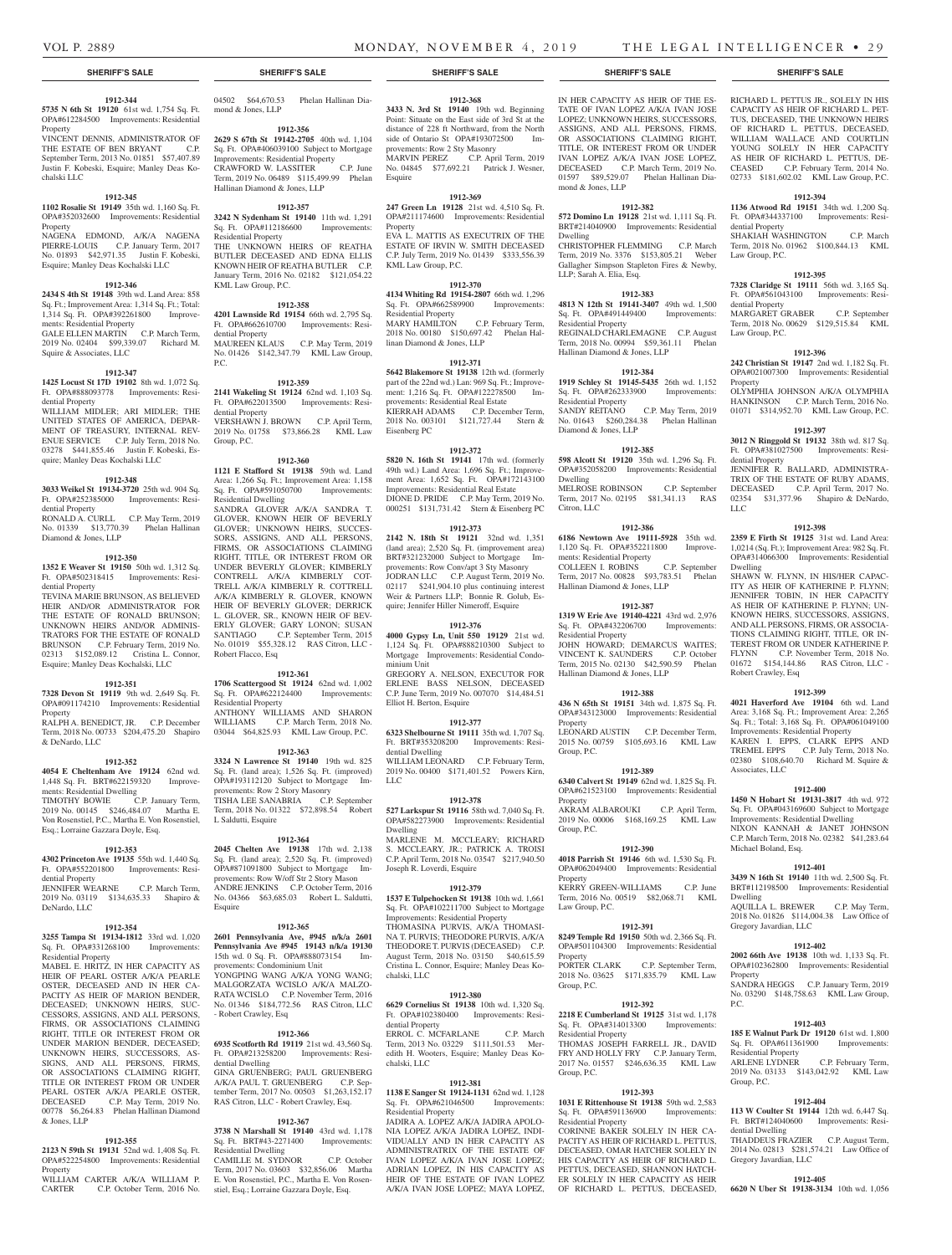dential Property

Law Group, P.C.

dential Property

Law Group, P.C.

dential Property

LLC

Dwelling

Robert Crawley, Esq

Associates, LLC

Michael Boland, Esq.

Gregory Javardian, LLC

Residential Property<br>ARLENE LYDNER

Group, P.C.

dential Dwelling

Gregory Javardian, LLC

Dwelling

Property

P.C.

Property

RICHARD L. PETTUS JR., SOLELY IN HIS CAPACITY AS HEIR OF RICHARD L. PET-TUS, DECEASED, THE UNKNOWN HEIRS OF RICHARD L. PETTUS, DECEASED, WILLIAM WALLACE AND COURTLIN YOUNG SOLELY IN HER CAPACITY AS HEIR OF RICHARD L. PETTUS, DE-CEASED C.P. February Term, 2014 No. 02733 \$181,602.02 KML Law Group, P.C. **1912-394 1136 Atwood Rd 19151** 34th wd. 1,200 Sq. Ft. OPA#344337100 Improvements: Resi-

SHAKIAH WASHINGTON C.P. March Term, 2018 No. 01962 \$100,844.13 KML

**1912-395 7328 Claridge St 19111** 56th wd. 3,165 Sq. Ft. OPA#561043100 Improvements: Resi-

MARGARET GRABER C.P. September Term, 2018 No. 00629 \$129,515.84 KML

**1912-396 242 Christian St 19147** 2nd wd. 1,182 Sq. Ft. OPA#021007300 Improvements: Residential

OLYMPHIA JOHNSON A/K/A OLYMPHIA HANKINSON C.P. March Term, 2016 No. 01071 \$314,952.70 KML Law Group, P.C. **1912-397 3012 N Ringgold St 19132** 38th wd. 817 Sq. Ft. OPA#381027500 Improvements: Resi-

JENNIFER R. BALLARD, ADMINISTRA-TRIX OF THE ESTATE OF RUBY ADAMS, DECEASED C.P. April Term, 2017 No. 02354 \$31,377.96 Shapiro & DeNardo,

**1912-398 2359 E Firth St 19125** 31st wd. Land Area: 1,0214 (Sq. Ft.); Improvement Area: 982 Sq. Ft. OPA#314066300 Improvements: Residential

SHAWN W. FLYNN, IN HIS/HER CAPAC-ITY AS HEIR OF KATHERINE P. FLYNN; JENNIFER TOBIN, IN HER CAPACITY AS HEIR OF KATHERINE P. FLYNN; UN-KNOWN HEIRS, SUCCESSORS, ASSIGNS, AND ALL PERSONS, FIRMS, OR ASSOCIA-TIONS CLAIMING RIGHT, TITLE, OR IN-TEREST FROM OR UNDER KATHERINE P. FLYNN C.P. November Term, 2018 No. 01672 \$154,144.86 RAS Citron, LLC -

**1912-399 4021 Haverford Ave 19104** 6th wd. Land Area: 3,168 Sq. Ft.; Improvement Area: 2,265 Sq. Ft.; Total: 3,168 Sq. Ft. OPA#061049100 Improvements: Residential Property KAREN I. EPPS, CLARK EPPS AND TREMEL EPPS C.P. July Term, 2018 No. 02380 \$108,640.70 Richard M. Squire &

**1912-400 1450 N Hobart St 19131-3817** 4th wd. 972 Sq. Ft. OPA#043169600 Subject to Mortgage Improvements: Residential Dwelling NIXON KANNAH & JANET JOHNSON C.P. March Term, 2018 No. 02382 \$41,283.64

**1912-401 3439 N 16th St 19140** 11th wd. 2,500 Sq. Ft. BRT#112198500 Improvements: Residential

AQUILLA L. BREWER C.P. May Term, 2018 No. 01826 \$114,004.38 Law Office of

**1912-402 2002 66th Ave 19138** 10th wd. 1,133 Sq. Ft. OPA#102362800 Improvements: Residential

SANDRA HEGGS C.P. January Term, 2019 No. 03290 \$148,758.63 KML Law Group,

**1912-403 185 E Walnut Park Dr 19120** 61st wd. 1,800 Sq. Ft. OPA#611361900 Improvements:

2019 No. 03133 \$143,042.92 KML Law

**1912-404 113 W Coulter St 19144** 12th wd. 6,447 Sq. Ft. BRT#124040600 Improvements: Resi-

THADDEUS FRAZIER C.P. August Term, 2014 No. 02813 \$281,574.21 Law Office of

**1912-405 6620 N Uber St 19138-3134** 10th wd. 1,056

C.P. February Term,

## **1912-344**

**5735 N 6th St 19120** 61st wd. 1,754 Sq. Ft. OPA#612284500 Improvements: Residential Property

VINCENT DENNIS, ADMINISTRATOR OF THE ESTATE OF BEN BRYANT C.P. September Term, 2013 No. 01851 \$57,407.89 Justin F. Kobeski, Esquire; Manley Deas Kochalski LLC

## **1912-345**

**1102 Rosalie St 19149** 35th wd. 1,160 Sq. Ft. OPA#352032600 Improvements: Residential Property NAGENA EDMOND, A/K/A NAGENA

PIERRE-LOUIS C.P. January Term, 2017 No. 01893 \$42,971.35 Justin F. Kobeski, Esquire; Manley Deas Kochalski LLC

## **1912-346**

**2434 S 4th St 19148** 39th wd. Land Area: 858 Sq. Ft.; Improvement Area: 1,314 Sq. Ft.; Total: 1,314 Sq. Ft. OPA#392261800 Improvements: Residential Property GALE ELLEN MARTIN C.P. March Term, 2019 No. 02404 \$99,339.07 Richard M. Squire & Associates, LLC

## **1912-347**

**1425 Locust St 17D 19102** 8th wd. 1,072 Sq. Ft. OPA#888093778 Improvements: Residential Property

WILLIAM MIDLER; ARI MIDLER; THE UNITED STATES OF AMERICA, DEPAR-MENT OF TREASURY, INTERNAL REV-ENUE SERVICE C.P. July Term, 2018 No. 03278 \$441,855.46 Justin F. Kobeski, Esquire; Manley Deas Kochalski LLC

## **1912-348**

**3033 Weikel St 19134-3720** 25th wd. 904 Sq. Ft. OPA#252385000 Improvements: Residential Property RONALD A. CURLL C.P. May Term, 2019

No. 01339 \$13,770.39 Phelan Hallinan Diamond & Jones, LLP

## **1912-350**

**1352 E Weaver St 19150** 50th wd. 1,312 Sq. Ft. OPA#502318415 Improvements: Residential Property

TEVINA MARIE BRUNSON, AS BELIEVED HEIR AND/OR ADMINISTRATOR FOR THE ESTATE OF RONALD BRUNSON; UNKNOWN HEIRS AND/OR ADMINIS-TRATORS FOR THE ESTATE OF RONALD BRUNSON C.P. February Term, 2019 No. 02313 \$152,089.12 Cristina L. Connor, Esquire; Manley Deas Kochalski, LLC

## **1912-351**

**7328 Devon St 19119** 9th wd. 2,649 Sq. Ft. OPA#091174210 Improvements: Residential Property

RALPH A. BENEDICT, JR. C.P. December Term, 2018 No. 00733 \$204,475.20 Shapiro & DeNardo, LLC

#### **1912-352**

**4054 E Cheltenham Ave 19124** 62nd wd. 1,448 Sq. Ft. BRT#622159320 Improve-

ments: Residential Dwelling TIMOTHY BOWIE C.P. January Term, 2019 No. 00145 \$246,484.07 Martha E.

Von Rosenstiel, P.C., Martha E. Von Rosenstiel, Esq.; Lorraine Gazzara Doyle, Esq.

## **1912-353**

**4302 Princeton Ave 19135** 55th wd. 1,440 Sq. Ft. OPA#552201800 Improvements: Residential Property

## JENNIFER WEARNE C.P. March Term, 2019 No. 03119 \$134,635.33 Shapiro & DeNardo, LLC

## **1912-354**

**3255 Tampa St 19134-1812** 33rd wd. 1,020 Sq. Ft. OPA#331268100 Improvements: Residential Property

MABEL E. HRITZ, IN HER CAPACITY AS HEIR OF PEARL OSTER A/K/A PEARLE OSTER, DECEASED AND IN HER CA-PACITY AS HEIR OF MARION BENDER, DECEASED; UNKNOWN HEIRS, SUC-CESSORS, ASSIGNS, AND ALL PERSONS, FIRMS, OR ASSOCIATIONS CLAIMING RIGHT, TITLE OR INTEREST FROM OR UNDER MARION BENDER, DECEASED; UNKNOWN HEIRS, SUCCESSORS, AS-SIGNS, AND ALL PERSONS, FIRMS, OR ASSOCIATIONS CLAIMING RIGHT TITLE OR INTEREST FROM OR UNDER PEARL OSTER A/K/A PEARLE OSTER, DECEASED C.P. May Term, 2019 No. 00778 \$6,264.83 Phelan Hallinan Diamond & Jones, LLP

## **1912-355**

**2123 N 59th St 19131** 52nd wd. 1,408 Sq. Ft. OPA#522254800 Improvements: Residential Property

WILLIAM CARTER A/K/A WILLIAM P.<br>CARTER C.P. October Term, 2016 No. C.P. October Term, 2016 No. 04502 \$64,670.53 Phelan Hallinan Diamond & Jones, LLP

## **1912-356**

**2629 S 67th St 19142-2705** 40th wd. 1,104 Sq. Ft. OPA#406039100 Subject to Mortgage Improvements: Residential Property CRAWFORD W. LASSITER C.P. June Term, 2019 No. 06489 \$115,499.99 Phelan Hallinan Diamond & Jones, LLP

### **1912-357**

**3242 N Sydenham St 19140** 11th wd. 1,291 Sq. Ft. OPA#112186600 Improvements: Residential Property THE UNKNOWN HEIRS OF REATHA BUTLER DECEASED AND EDNA ELLIS KNOWN HEIR OF REATHA BUTLER C.P. January Term, 2016 No. 02182 \$121,054.22 KML Law Group, P.C.

### **1912-358**

**4201 Lawnside Rd 19154** 66th wd. 2,795 Sq. Ft. OPA#662610700 Improvements: Residential Property MAUREEN KLAUS C.P. May Term, 2019 No. 01426 \$142,347.79 KML Law Group, P.C.

## **1912-359**

Group, P.C.

**2141 Wakeling St 19124** 62nd wd. 1,103 Sq. Ft. OPA#622013500 Improvements: Residential Property VERSHAWN J. BROWN C.P. April Term, 2019 No. 01758 \$73,866.28 KML Law

## **1912-360**

**1121 E Stafford St 19138** 59th wd. Land Area: 1,266 Sq. Ft.; Improvement Area: 1,158 Sq. Ft. OPA#591050700 Improvements: Residential Dwelling SANDRA GLOVER A/K/A SANDRA T. GLOVER, KNOWN HEIR OF BEVERLY GLOVER; UNKNOWN HEIRS, SUCCES-SORS, ASSIGNS, AND ALL PERSONS, FIRMS, OR ASSOCIATIONS CLAIMING RIGHT, TITLE, OR INTEREST FROM OR UNDER BEVERLY GLOVER; KIMBERLY CONTRELL A/K/A KIMBERLY COT-TRELL A/K/A KIMBERLY R. COTTRELL A/K/A KIMBERLY R. GLOVER, KNOWN HEIR OF BEVERLY GLOVER; DERRICK L. GLOVER, SR., KNOWN HEIR OF BEV-ERLY GLOVER; GARY LONON; SUSAN SANTIAGO C.P. September Term, 2015 No. 01019 \$55,328.12 RAS Citron, LLC - Robert Flacco, Esq

#### **1912-361**

**1706 Scattergood St 19124** 62nd wd. 1,002 Sq. Ft. OPA#622124400 Improvements: Residential Property ANTHONY WILLIAMS AND SHARON<br>WILLIAMS C.P. March Term, 2018 No. C.P. March Term, 2018 No. 03044 \$64,825.93 KML Law Group, P.C.

#### **1912-363**

**3324 N Lawrence St 19140** 19th wd. 825 Sq. Ft. (land area); 1,526 Sq. Ft. (improved) OPA#193112120 Subject to Mortgage Improvements: Row 2 Story Masonry TISHA LEE SANABRIA C.P. September Term, 2018 No. 01322 \$72,898.54 Robert L Saldutti, Esquire

## **1912-364**

**2045 Chelten Ave 19138** 17th wd. 2,138 Sq. Ft. (land area); 2,520 Sq. Ft. (improved) OPA#871091800 Subject to Mortgage Improvements: Row W/off Str 2 Story Mason ANDRE JENKINS C.P. October Term, 2016 No. 04366 \$63,685.03 Robert L. Saldutti, Esquire

#### **1912-365**

#### **2601 Pennsylvania Ave, #945 n/k/a 2601 Pennsylvania Ave #945 19143 n/k/a 19130**  15th wd. 0 Sq. Ft. OPA#888073154 Improvements: Condominium Unit

YONGPING WANG A/K/A YONG WANG; MALGORZATA WCISLO A/K/A MALZO-RATA WCISLO C.P. November Term, 2016 No. 01346 \$184,772.56 RAS Citron, LLC - Robert Crawley, Esq

## **1912-366**

**6935 Scotforth Rd 19119** 21st wd. 43,560 Sq. Ft. OPA#213258200 Improvements: Residential Dwelling GINA GRUENBERG; PAUL GRUENBERG

A/K/A PAUL T. GRUENBERG C.P. September Term, 2017 No. 00503 \$1,263,152.17 RAS Citron, LLC - Robert Crawley, Esq.

## **1912-367**

**3738 N Marshall St 19140** 43rd wd. 1,178 Sq. Ft. BRT#43-2271400 Improvements: Residential Dwelling

CAMILLE M. SYDNOR C.P. October Term, 2017 No. 03603 \$32,856.06 Martha E. Von Rosenstiel, P.C., Martha E. Von Rosenstiel, Esq.; Lorraine Gazzara Doyle, Esq.

## **1912-368**

**3433 N. 3rd St 19140** 19th wd. Beginning Point: Situate on the East side of 3rd St at the distance of 228 ft Northward, from the North side of Ontario St OPA#193072500 Improvements: Row 2 Sty Masonry MARVIN PEREZ C.P. April Term, 2019 No. 04845 \$77,692.21 Patrick J. Wesner, Esquire

**1912-369**

**247 Green Ln 19128** 21st wd. 4,510 Sq. Ft. OPA#211174600 Improvements: Residential Property EVA L. MATTIS AS EXECUTRIX OF THE ESTATE OF IRVIN W. SMITH DECEASED C.P. July Term, 2019 No. 01439 \$333,556.39 KML Law Group, P.C.

## **1912-370**

**4134 Whiting Rd 19154-2807** 66th wd. 1,296 Sq. Ft. OPA#662589900 Improvements: Residential Property MARY HAMILTON C.P. February Term, 2018 No. 00180 \$150,697.42 Phelan Hallinan Diamond & Jones, LLP

## **1912-371**

**5642 Blakemore St 19138** 12th wd. (formerly part of the 22nd wd.) Lan: 969 Sq. Ft.; Improvement: 1,216 Sq. Ft. OPA#122278500 Improvements: Residential Real Estate KIERRAH ADAMS C.P. December Term, 2018 No. 003101 \$121,727.44 Stern & Eisenberg PC

## **1912-372**

**5820 N. 16th St 19141** 17th wd. (formerly 49th wd.) Land Area: 1,696 Sq. Ft.; Improvement Area: 1,652 Sq. Ft. OPA#172143100 Improvements: Residential Real Estate DIONE D. PRIDE C.P. May Term, 2019 No. 000251 \$131,731.42 Stern & Eisenberg PC

## **1912-373**

**2142 N. 18th St 19121** 32nd wd. 1,351 (land area); 2,520 Sq. Ft. (improvement area) BRT#321232000 Subject to Mortgage Improvements: Row Conv/apt 3 Sty Masonry JODRAN LLC C.P. August Term, 2019 No.  $02117$  \$241,904.10 plus continuing interest Weir & Partners LLP; Bonnie R. Golub, Esquire; Jennifer Hiller Nimeroff, Esquire

### **1912-376**

**4000 Gypsy Ln, Unit 550 19129** 21st wd. 1,124 Sq. Ft. OPA#888210300 Subject to Mortgage Improvements: Residential Condominium Unit GREGORY A. NELSON, EXECUTOR FOR ERLENE BASS NELSON, DECEASED C.P. June Term, 2019 No. 007070 \$14,484.51 Elliot H. Berton, Esquire

## **1912-377**

**6323 Shelbourne St 19111** 35th wd. 1,707 Sq. Ft. BRT#353208200 Improvements: Residential Dwelling WILLIAM LEONARD C.P. February Term, 2019 No. 00400 \$171,401.52 Powers Kirn,

LLC

**1912-378 527 Larkspur St 19116** 58th wd. 7,040 Sq. Ft. OPA#582273900 Improvements: Residential Dwelling MARLENE M. MCCLEARY; RICHARD

S. MCCLEARY, JR.; PATRICK A. TROISI C.P. April Term, 2018 No. 03547 \$217,940.50 Joseph R. Loverdi, Esquire

## **1912-379**

**1537 E Tulpehocken St 19138** 10th wd. 1,661 Sq. Ft. OPA#102211700 Subject to Mortgage Improvements: Residential Property THOMASINA PURVIS, A/K/A THOMASI-NA T. PURVIS; THEODORE PURVIS, A/K/A THEODORE T. PURVIS (DECEASED) C.P. August Term, 2018 No. 03150 \$40,615.59 Cristina L. Connor, Esquire; Manley Deas Kochalski, LLC

## **1912-380**

**6629 Cornelius St 19138** 10th wd. 1,320 Sq. Ft. OPA#102380400 Improvements: Residential Property ERROL C. MCFARLANE C.P. March Term, 2013 No. 03229 \$111,501.53 Mer-

## edith H. Wooters, Esquire; Manley Deas Kochalski, LLC

**1912-381 1138 E Sanger St 19124-1131** 62nd wd. 1,128<br>Sq. Ft. OPA#621046500 Improvements: Sq. Ft. OPA#621046500 Residential Property

JADIRA A. LOPEZ A/K/A JADIRA APOLO-NIA LOPEZ A/K/A JADIRA LOPEZ, INDI-VIDUALLY AND IN HER CAPACITY AS ADMINISTRATRIX OF THE ESTATE OF IVAN LOPEZ A/K/A IVAN JOSE LOPEZ; ADRIAN LOPEZ, IN HIS CAPACITY AS HEIR OF THE ESTATE OF IVAN LOPEZ A/K/A IVAN JOSE LOPEZ; MAYA LOPEZ,

## **SHERIFF'S SALE SHERIFF'S SALE SHERIFF'S SALE SHERIFF'S SALE SHERIFF'S SALE**

IN HER CAPACITY AS HEIR OF THE ES-TATE OF IVAN LOPEZ A/K/A IVAN JOSE LOPEZ; UNKNOWN HEIRS, SUCCESSORS, ASSIGNS, AND ALL PERSONS, FIRMS, OR ASSOCIATIONS CLAIMING RIGHT, TITLE, OR INTEREST FROM OR UNDER IVAN LOPEZ A/K/A IVAN JOSE LOPEZ, DECEASED C.P. March Term, 2019 No. 01597 \$89,529.07 Phelan Hallinan Diamond & Jones, LLP

## **1912-382**

LLP; Sarah A. Elia, Esq.

**572 Domino Ln 19128** 21st wd. 1,111 Sq. Ft. BRT#214040900 Improvements: Residential Dwelling CHRISTOPHER FLEMMING C.P. March Term, 2019 No. 3376 \$153,805.21 Weber Gallagher Simpson Stapleton Fires & Newby,

## **1912-383**

**4813 N 12th St 19141-3407** 49th wd. 1,500 Sq. Ft. OPA#491449400 Improvements: Residential Property REGINALD CHARLEMAGNE C.P. August Term, 2018 No. 00994 \$59,361.11 Phelan Hallinan Diamond & Jones, LLP

## **1912-384**

**1919 Schley St 19145-5435** 26th wd. 1,152 Sq. Ft. OPA#262333900 Improvements: Residential Property SANDY REITANO C.P. May Term, 2019 No. 01643 \$260,284.38 Phelan Hallinan Diamond & Jones, LLP

## **1912-385**

**598 Alcott St 19120** 35th wd. 1,296 Sq. Ft. OPA#352058200 Improvements: Residential Dwelling MELROSE ROBINSON C.P. September Term, 2017 No. 02195 \$81,341.13 RAS Citron, LLC

### **1912-386 6186 Newtown Ave 19111-5928** 35th wd.

ments: Residential Property

Residential Property

Property

Property

Property

Property

Group, P.C.

Group, P.C.

Residential Property

Residential Property

Law Group, P.C.

Group, P.C.

Group, P.C.

Hallinan Diamond & Jones, LLP

Hallinan Diamond & Jones, LLP

1,120 Sq. Ft. OPA#352211800 Improve-

COLLEEN I. ROBINS C.P. September Term, 2017 No. 00828 \$93,783.51 Phelan

**1912-387 1319 W Erie Ave 19140-4221** 43rd wd. 2,976 Sq. Ft. OPA#432206700 Improvements:

JOHN HOWARD; DEMARCUS WAITES; VINCENT K. SAUNDERS C.P. October Term, 2015 No. 02130 \$42,590.59 Phelan

**1912-388 436 N 65th St 19151** 34th wd. 1,875 Sq. Ft. OPA#343123000 Improvements: Residential

LEONARD AUSTIN C.P. December Term, 2015 No. 00759 \$105,693.16 KML Law

**1912-389 6340 Calvert St 19149** 62nd wd. 1,825 Sq. Ft. OPA#621523100 Improvements: Residential

AKRAM ALBAROUKI C.P. April Term, 2019 No. 00006 \$168,169.25 KML Law

**1912-390 4018 Parrish St 19146** 6th wd. 1,530 Sq. Ft. OPA#062049400 Improvements: Residential

KERRY GREEN-WILLIAMS C.P. June Term, 2016 No. 00519 \$82,068.71 KML

**1912-391 8249 Temple Rd 19150** 50th wd. 2,366 Sq. Ft. OPA#501104300 Improvements: Residential

PORTER CLARK C.P. September Term, 2018 No. 03625 \$171,835.79 KML Law

**1912-392 2218 E Cumberland St 19125** 31st wd. 1,178 Sq. Ft. OPA#314013300 Improvements:

THOMAS JOSEPH FARRELL JR., DAVID FRY AND HOLLY FRY C.P. January Term, 2017 No. 01557 \$246,636.35 KML Law

**1912-393 1031 E Rittenhouse St 19138** 59th wd. 2,583 Sq. Ft. OPA#591136900 Improvements:

CORINNE BAKER SOLELY IN HER CA-PACITY AS HEIR OF RICHARD L. PETTUS, DECEASED, OMAR HATCHER SOLELY IN HIS CAPACITY AS HEIR OF RICHARD L. PETTUS, DECEASED, SHANNON HATCH-ER SOLELY IN HER CAPACITY AS HEIR OF RICHARD L. PETTUS, DECEASED,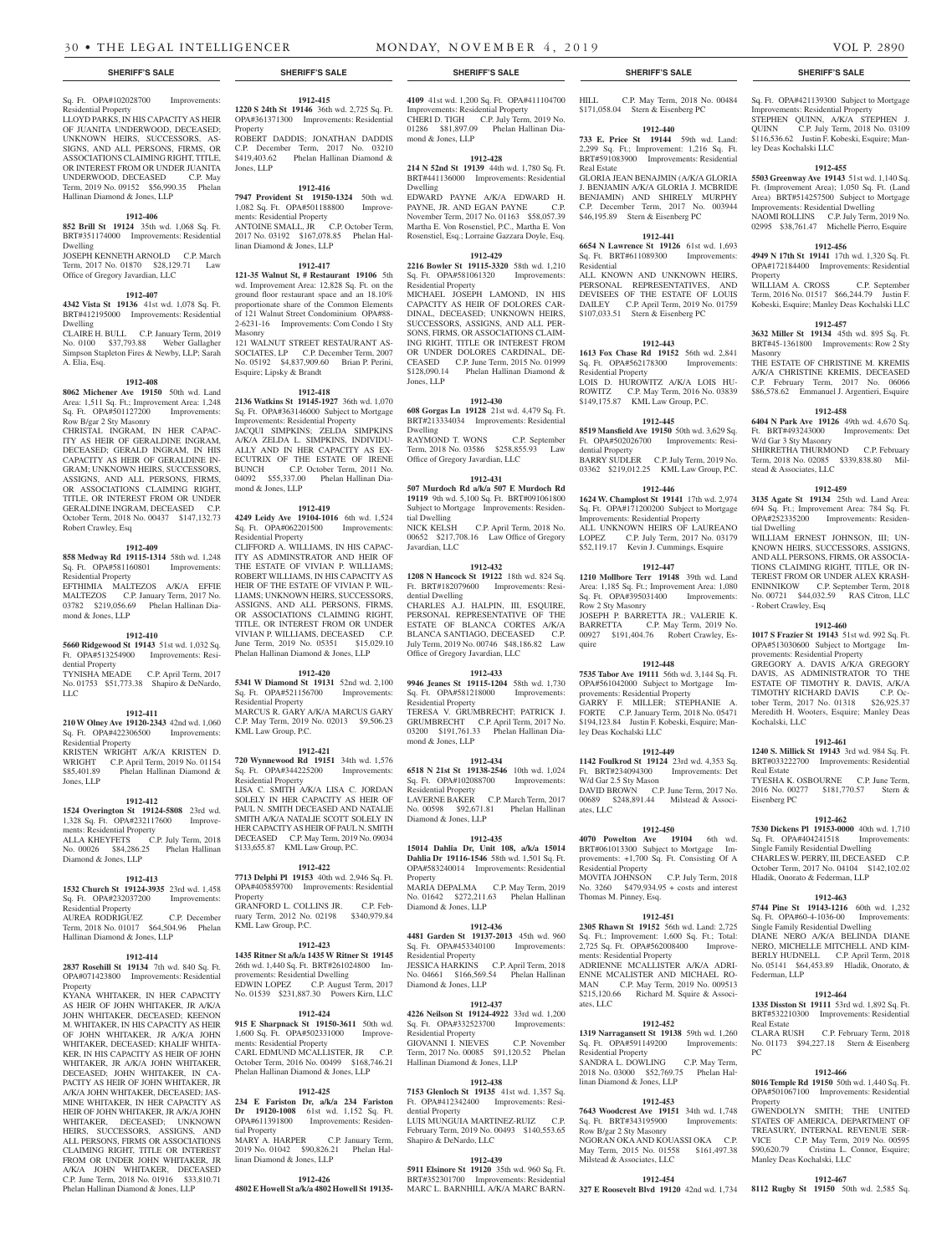Sq. Ft. OPA#102028700 Improvements: Residential Property

LLOYD PARKS, IN HIS CAPACITY AS HEIR OF JUANITA UNDERWOOD, DECEASED; UNKNOWN HEIRS, SUCCESSORS, AS-SIGNS, AND ALL PERSONS, FIRMS, OR ASSOCIATIONS CLAIMING RIGHT, TITLE, OR INTEREST FROM OR UNDER JUANITA UNDERWOOD, DECEASED C.P. May Term, 2019 No. 09152 \$56,990.35 Phelan Hallinan Diamond & Jones, LLP

## **1912-406**

**852 Brill St 19124** 35th wd. 1,068 Sq. Ft. BRT#351174000 Improvements: Residential Dwelling JOSEPH KENNETH ARNOLD C.P. March

Term, 2017 No. 01870 \$28,129.71 Law Office of Gregory Javardian, LLC

## **1912-407**

**4342 Vista St 19136** 41st wd. 1,078 Sq. Ft. BRT#412195000 Improvements: Residential Dwelling

CLAIRE H. BULL C.P. January Term, 2019 No. 0100 \$37,793.88 Weber Gallagher Simpson Stapleton Fires & Newby, LLP; Sarah A. Elia, Esq.

## **1912-408**

**8062 Michener Ave 19150** 50th wd. Land Area: 1,511 Sq. Ft.; Improvement Area: 1,248<br>Sq. Ft. OPA#501127200 Improvements: Sq. Ft. OPA#501127200 Row B/gar 2 Sty Masonry

CHRISTAL INGRAM, IN HER CAPAC-ITY AS HEIR OF GERALDINE INGRAM, DECEASED; GERALD INGRAM, IN HIS CAPACITY AS HEIR OF GERALDINE IN-GRAM; UNKNOWN HEIRS, SUCCESSORS, ASSIGNS, AND ALL PERSONS, FIRMS, OR ASSOCIATIONS CLAIMING RIGHT, TITLE, OR INTEREST FROM OR UNDER GERALDINE INGRAM, DECEASED C.P. October Term, 2018 No. 00437 \$147,132.73 Robert Crawley, Esq

## **1912-409**

**858 Medway Rd 19115-1314** 58th wd. 1,248 Sq. Ft. OPA#581160801 Improvements: Residential Property EFTHIMIA MALTEZOS A/K/A EFFIE MALTEZOS C.P. January Term, 2017 No. 03782 \$219,056.69 Phelan Hallinan Diamond & Jones, LLP

## **1912-410**

**5660 Ridgewood St 19143** 51st wd. 1,032 Sq. Ft. OPA#513254900 Improvements: Residential Property

TYNISHA MEADE C.P. April Term, 2017 No. 01753 \$51,773.38 Shapiro & DeNardo, LLC

## **1912-411**

**210 W Olney Ave 19120-2343** 42nd wd. 1,060 Sq. Ft. OPA#422306500 Improvements: Residential Property KRISTEN WRIGHT A/K/A KRISTEN D. WRIGHT C.P. April Term, 2019 No. 01154<br>\$85,401.89 Phelan Hallinan Diamond & Phelan Hallinan Diamond & Jones, LLP

## **1912-412**

**1524 Overington St 19124-5808** 23rd wd. 1,328 Sq. Ft. OPA#232117600 Improvements: Residential Property ALLA KHEYFETS C.P. July Term, 2018 No. 00026 \$84,286.25 Phelan Hallinan Diamond & Jones, LLP

## **1912-413**

**1532 Church St 19124-3935** 23rd wd. 1,458 Sq. Ft. OPA#232037200 Improvements: Residential Property AUREA RODRIGUEZ C.P. December Term, 2018 No. 01017 \$64,504.96 Phelan Hallinan Diamond & Jones, LLP

## **1912-414**

**2837 Rosehill St 19134** 7th wd. 840 Sq. Ft. OPA#071423800 Improvements: Residential Property

KYANA WHITAKER, IN HER CAPACITY AS HEIR OF JOHN WHITAKER, JR A/K/A JOHN WHITAKER, DECEASED; KEENON M. WHITAKER, IN HIS CAPACITY AS HEIR OF JOHN WHITAKER, JR A/K/A JOHN WHITAKER, DECEASED: KHALIF WHITA-KER, IN HIS CAPACITY AS HEIR OF JOHN WHITAKER, JR A/K/A JOHN WHITAKER, DECEASED; JOHN WHITAKER, IN CA-PACITY AS HEIR OF JOHN WHITAKER, IR A/K/A JOHN WHITAKER, DECEASED; JAS-MINE WHITAKER, IN HER CAPACITY AS HEIR OF JOHN WHITAKER, JR A/K/A JOHN WHITAKER, DECEASED; UNKNOWN HEIRS, SUCCESSORS, ASSIGNS, AND ALL PERSONS, FIRMS OR ASSOCIATIONS CLAIMING RIGHT, TITLE OR INTEREST FROM OR UNDER JOHN WHITAKER, JR A/K/A JOHN WHITAKER, DECEASED C.P. June Term, 2018 No. 01916 \$33,810.71 Phelan Hallinan Diamond & Jones, LLP

## **1912-415 1220 S 24th St 19146** 36th wd. 2,725 Sq. Ft. OPA#361371300 Improvements: Residential

Property ROBERT DADDIS; JONATHAN DADDIS C.P. December Term, 2017 No. 03210 \$419,403.62 Phelan Hallinan Diamond & Jones, LLP

## **1912-416**

**7947 Provident St 19150-1324** 50th wd. 1,082 Sq. Ft. OPA#501188800 Improvements: Residential Property ANTOINE SMALL, JR C.P. October Term, 2017 No. 03192 \$167,078.85 Phelan Hallinan Diamond & Jones, LLP

## **1912-417**

**121-35 Walnut St, # Restaurant 19106** 5th wd. Improvement Area: 12,828 Sq. Ft. on the ground floor restaurant space and an 18.10% proportionate share of the Common Elements of 121 Walnut Street Condominium OPA#88- 2-6231-16 Improvements: Com Condo 1 Sty Masonry 121 WALNUT STREET RESTAURANT AS-SOCIATES, LP C.P. December Term, 2007

No. 05192 \$4,837,909.60 Brian P. Perini, Esquire; Lipsky & Brandt

## **1912-418**

**2136 Watkins St 19145-1927** 36th wd. 1,070 Sq. Ft. OPA#363146000 Subject to Mortgage Improvements: Residential Property JACQUI SIMPKINS; ZELDA SIMPKINS A/K/A ZELDA L. SIMPKINS, INDIVIDU-ALLY AND IN HER CAPACITY AS EX-ECUTRIX OF THE ESTATE OF IRENE BUNCH C.P. October Term, 2011 No. 04092 \$55,337.00 Phelan Hallinan Diamond & Jones, LLP

## **1912-419**

**4249 Leidy Ave 19104-1016** 6th wd. 1,524 Sq. Ft. OPA#062201500 Improvements: Residential Property CLIFFORD A. WILLIAMS, IN HIS CAPAC-ITY AS ADMINSTRATOR AND HEIR OF THE ESTATE OF VIVIAN P. WILLIAMS; ROBERT WILLIAMS, IN HIS CAPACITY AS HEIR OF THE ESTATE OF VIVIAN P. WIL-LIAMS; UNKNOWN HEIRS, SUCCESSORS, ASSIGNS, AND ALL PERSONS, FIRMS, OR ASSOCIATIONS CLAIMING RIGHT, TITLE, OR INTEREST FROM OR UNDER VIVIAN P. WILLIAMS, DECEASED C.P. June Term, 2019 No. 05351 \$15,029.10 Phelan Hallinan Diamond & Jones, LLP

## **1912-420**

**5341 W Diamond St 19131** 52nd wd. 2,100 Sq. Ft. OPA#521156700 Improvements: Residential Property MARCUS R. GARY A/K/A MARCUS GARY C.P. May Term, 2019 No. 02013 \$9,506.23 KML Law Group, P.C.

## **1912-421**

**720 Wynnewood Rd 19151** 34th wd. 1,576 Sq. Ft. OPA#344225200 Improvements: Residential Property LISA C. SMITH A/K/A LISA C. JORDAN SOLELY IN HER CAPACITY AS HEIR OF PAUL N. SMITH DECEASED AND NATALIE SMITH A/K/A NATALIE SCOTT SOLELY IN HER CAPACITY AS HEIR OF PAUL N. SMITH DECEASED C.P. May Term, 2019 No. 09034

## **1912-422**

\$133,655.87 KML Law Group, P.C.

**7713 Delphi Pl 19153** 40th wd. 2,946 Sq. Ft. OPA#405859700 Improvements: Residential Property GRANFORD L. COLLINS JR. C.P. February Term, 2012 No. 02198 \$340,979.84 KML Law Group, P.C.

## **1912-423**

**1435 Ritner St a/k/a 1435 W Ritner St 19145**  26th wd. 1,440 Sq. Ft. BRT#261024800 Improvements: Residential Dwelling EDWIN LOPEZ C.P. August Term, 2017 No. 01539 \$231,887.30 Powers Kirn, LLC

## **1912-424**

**915 E Sharpnack St 19150-3611** 50th wd. 1,600 Sq. Ft. OPA#502331000 Improvements: Residential Property CARL EDMUND MCALLISTER, JR C.P. October Term, 2016 No. 00499 \$168,746.21 Phelan Hallinan Diamond & Jones, LLP

## **1912-425**

**234 E Fariston Dr, a/k/a 234 Fariston Dr 19120-1008** 61st wd. 1,152 Sq. Ft. OPA#611391800 Improvements: Residential Property MARY A. HARPER C.P. January Term,

## 2019 No. 01042 \$90,826.21 Phelan Hallinan Diamond & Jones, LLP

**1912-426**

**4802 E Howell St a/k/a 4802 Howell St 19135-**

## **SHERIFF'S SALE SHERIFF'S SALE SHERIFF'S SALE SHERIFF'S SALE SHERIFF'S SALE**

**4109** 41st wd. 1,200 Sq. Ft. OPA#411104700 Improvements: Residential Property CHERI D. TIGH C.P. July Term, 2019 No. 01286 \$81,897.09 Phelan Hallinan Diamond & Jones, LLP

## **1912-428**

**214 N 52nd St 19139** 44th wd. 1,780 Sq. Ft. BRT#441136000 Improvements: Residential Dwelling

EDWARD PAYNE A/K/A EDWARD H. PAYNE, JR. AND EGAN PAYNE C.P. November Term, 2017 No. 01163 \$58,057.39 Martha E. Von Rosenstiel, P.C., Martha E. Von Rosenstiel, Esq.; Lorraine Gazzara Doyle, Esq.

## **1912-429**

**2216 Bowler St 19115-3320** 58th wd. 1,210 Sq. Ft. OPA#581061320 Improvements:

Residential Property MICHAEL JOSEPH LAMOND, IN HIS CAPACITY AS HEIR OF DOLORES CAR-DINAL, DECEASED; UNKNOWN HEIRS, SUCCESSORS, ASSIGNS, AND ALL PER-SONS, FIRMS, OR ASSOCIATIONS CLAIM-ING RIGHT, TITLE OR INTEREST FROM OR UNDER DOLORES CARDINAL, DE-CEASED C.P. June Term, 2015 No. 01999 \$128,090.14 Phelan Hallinan Diamond & Jones, LLP

## **1912-430**

**608 Gorgas Ln 19128** 21st wd. 4,479 Sq. Ft. BRT#213334034 Improvements: Residential Dwelling RAYMOND T. WONS C.P. September

Term, 2018 No. 03586 \$258,855.93 Law Office of Gregory Javardian, LLC

### **1912-431 507 Murdoch Rd a/k/a 507 E Murdoch Rd**

**19119** 9th wd. 5,100 Sq. Ft. BRT#091061800 Subject to Mortgage Improvements: Residential Dwelling<br>NICK KELSH C.P. April Term, 2018 No. 00652 \$217,708.16 Law Office of Gregory

Javardian, LLC **1912-432**

**1208 N Hancock St 19122** 18th wd. 824 Sq. Ft. BRT#182079600 Improvements: Residential Dwelling CHARLES A.J. HALPIN, III, ESQUIRE, PERSONAL REPRESENTATIVE OF THE ESTATE OF BLANCA CORTES A/K/A BLANCA SANTIAGO, DECEASED C.P. July Term, 2019 No. 00746 \$48,186.82 Law Office of Gregory Javardian, LLC

## **1912-433**

**9946 Jeanes St 19115-1204** 58th wd. 1,730 Sq. Ft. OPA#581218000 Improvements: Residential Property TERESA V. GRUMBRECHT; PATRICK J. GRUMBRECHT C.P. April Term, 2017 No.

03200 \$191,761.33 Phelan Hallinan Diamond & Jones, LLP

## **1912-434 6518 N 21st St 19138-2546** 10th wd. 1,024

Sq. Ft. OPA#102088700 Improvements: Residential Property LAVERNE BAKER C.P. March Term, 2017 No. 00598 \$92,671.81 Phelan Hallinan Diamond & Jones, LLP

## **1912-435**

**15014 Dahlia Dr, Unit 108, a/k/a 15014 Dahlia Dr 19116-1546** 58th wd. 1,501 Sq. Ft. OPA#583240014 Improvements: Residential Property MARIA DEPALMA C.P. May Term, 2019

No. 01642 \$272,211.63 Phelan Hallinan Diamond & Jones, LLP

## **1912-436**

**4481 Garden St 19137-2013** 45th wd. 960 Sq. Ft. OPA#453340100 Improvements: Residential Property JESSICA HARKINS C.P. April Term, 2018 No. 04661 \$166,569.54 Phelan Hallinan Diamond & Jones, LLP

## **1912-437**

**4226 Neilson St 19124-4922** 33rd wd. 1,200 Sq. Ft. OPA#332523700 Improvements: Residential Property GIOVANNI I. NIEVES C.P. Novem Term, 2017 No. 00085 \$91,120.52 Phelan Hallinan Diamond & Jones, LLP

## **1912-438**

**7153 Glenloch St 19135** 41st wd. 1,357 Sq. Ft. OPA#412342400 Improvements: Residential Property LUIS MUNGUIA MARTINEZ-RUIZ C.P. February Term, 2019 No. 00493 \$140,553.65 Shapiro & DeNardo, LLC

## **1912-439**

**5911 Elsinore St 19120** 35th wd. 960 Sq. Ft. BRT#352301700 Improvements: Residential MARC L. BARNHILL A/K/A MARC BARN-

HILL C.P. May Term, 2018 No. 00484 \$171,058.04 Stern & Eisenberg PC

Sq. Ft. OPA#421139300 Subject to Mortgage Improvements: Residential Property STEPHEN QUINN, A/K/A STEPHEN J. QUINN C.P. July Term, 2018 No. 03109 \$116,536.62 Justin F. Kobeski, Esquire; Man-

**1912-455 5503 Greenway Ave 19143** 51st wd. 1,140 Sq. Ft. (Improvement Area); 1,050 Sq. Ft. (Land Area) BRT#514257500 Subject to Mortgage Improvements: Residential Dwelling NAOMI ROLLINS C.P. July Term, 2019 No. 02995 \$38,761.47 Michelle Pierro, Esquire **1912-456 4949 N 17th St 19141** 17th wd. 1,320 Sq. Ft. OPA#172184400 Improvements: Residential

WILLIAM A. CROSS C.P. September Term, 2016 No. 01517 \$66,244.79 Justin F. Kobeski, Esquire; Manley Deas Kochalski LLC **1912-457 3632 Miller St 19134** 45th wd. 895 Sq. Ft. BRT#45-1361800 Improvements: Row 2 Sty

THE ESTATE OF CHRISTINE M. KREMIS A/K/A CHRISTINE KREMIS, DECEASED C.P. February Term, 2017 No. 06066 \$86,578.62 Emmanuel J. Argentieri, Esquire **1912-458 6404 N Park Ave 19126** 49th wd. 4,670 Sq. Ft. BRT#493243000 Improvements: Det

SHIRRETHA THURMOND C.P. February Term, 2018 No. 02085 \$339,838.80 Mil-

**1912-459 3135 Agate St 19134** 25th wd. Land Area: 694 Sq. Ft.; Improvement Area: 784 Sq. Ft. OPA#252335200 Improvements: Residen-

WILLIAM ERNEST JOHNSON, III; UN-KNOWN HEIRS, SUCCESSORS, ASSIGNS, AND ALL PERSONS, FIRMS, OR ASSOCIA-TIONS CLAIMING RIGHT, TITLE, OR IN-TEREST FROM OR UNDER ALEX KRASH-ENINNIKOW C.P. September Term, 2018 No. 00721 \$44,032.59 RAS Citron, LLC

**1912-460 1017 S Frazier St 19143** 51st wd. 992 Sq. Ft. OPA#513030600 Subject to Mortgage Im-

GREGORY A. DAVIS A/K/A GREGORY DAVIS, AS ADMINISTRATOR TO THE ESTATE OF TIMOTHY R. DAVIS, A/K/A TIMOTHY RICHARD DAVIS C.P. October Term, 2017 No. 01318 \$26,925.37 tober Term, 2017 No. 01318 \$26,925.37<br>Meredith H. Wooters, Esquire; Manley Deas

**1912-461 1240 S. Millick St 19143** 3rd wd. 984 Sq. Ft. BRT#033222700 Improvements: Residential

TYESHA K. OSBOURNE C.P. June Term, 2016 No. 00277 \$181,770.57 Stern &

**1912-462 7530 Dickens Pl 19153-0000** 40th wd. 1,710 Sq. Ft. OPA#404241518 Improvements: Single Family Residential Dwelling CHARLES W. PERRY, III, DECEASED C.P. October Term, 2017 No. 04104 \$142,102.02 Hladik, Onorato & Federman, LLP

**1912-463 5744 Pine St 19143-1216** 60th wd. 1,232 Sq. Ft. OPA#60-4-1036-00 Improvements: Single Family Residential Dwelling DIANE NERO A/K/A BELINDA DIANE NERO, MICHELLE MITCHELL AND KIM-BERLY HUDNELL C.P. April Term, 2018 No. 05141 \$64,453.89 Hladik, Onorato, &

**1912-464 1335 Disston St 19111** 53rd wd. 1,892 Sq. Ft. BRT#532210300 Improvements: Residential

No. 01173 \$94,227.18 Stern & Eisenberg

**1912-466 8016 Temple Rd 19150** 50th wd. 1,440 Sq. Ft. OPA#501067100 Improvements: Residential

GWENDOLYN SMITH; THE UNITED STATES OF AMERICA, DEPARTMENT OF TREASURY, INTERNAL REVENUE SER-VICE C.P. May Term, 2019 No. 00595 \$90,620.79 Cristina L. Connor, Esquire;

**1912-467 8112 Rugby St 19150** 50th wd. 2,585 Sq.

Manley Deas Kochalski, LLC

C.P. February Term, 2018

ley Deas Kochalski LLC

Property

Masonry

W/d Gar 3 Sty Masonry

stead & Associates, LLC

- Robert Crawley, Esq

Kochalski, LLC

Real Estate

Eisenberg PC

Federman, LLP

Real Estate

PC

Property

provements: Residential Property

tial Dwelling

## **1912-440 733 E. Price St 19144** 59th wd. Land:

2,299 Sq. Ft.; Improvement: 1,216 Sq. Ft. BRT#591083900 Improvements: Residential Real Estate GLORIA JEAN BENAJMIN (A/K/A GLORIA J. BENJAMIN A/K/A GLORIA J. MCBRIDE BENJAMIN) AND SHIRELY MURPHY C.P. December Term, 2017 No. 003944

## \$46,195.89 Stern & Eisenberg PC **1912-441**

**6654 N Lawrence St 19126** 61st wd. 1,693 Sq. Ft. BRT#611089300 Improvements: Residential ALL KNOWN AND UNKNOWN HEIRS, PERSONAL REPRESENTATIVES, AND DEVISEES OF THE ESTATE OF LOUIS DAILEY C.P. April Term, 2019 No. 01759 \$107,033.51 Stern & Eisenberg PC

## **1912-443**

**1613 Fox Chase Rd 19152** 56th wd. 2,841 Sq. Ft. OPA#562178300 Improvements: Residential Property LOIS D. HUROWITZ A/K/A LOIS HU-ROWITZ C.P. May Term, 2016 No. 03839

\$149,175.87 KML Law Group, P.C. **1912-445**

## **8519 Mansfield Ave 19150** 50th wd. 3,629 Sq. Ft. OPA#502026700 Improvements: Residential Property

BARRY SUDLER C.P. July Term, 2019 No. 03362 \$219,012.25 KML Law Group, P.C. **1912-446**

**1624 W. Champlost St 19141** 17th wd. 2,974 Sq. Ft. OPA#171200200 Subject to Mortgage Improvements: Residential Property ALL UNKNOWN HEIRS OF LAUREANO LOPEZ C.P. July Term, 2017 No. 03179 \$52,119.17 Kevin J. Cummings, Esquire

## **1912-447**

**1210 Mollbore Terr 19148** 39th wd. Land Area: 1,185 Sq. Ft.; Improvement Area: 1,080 Sq. Ft. OPA#395031400 Improvements: Row 2 Sty Masonry JOSEPH P. BARRETTA JR.; VALERIE K. BARRETTA C.P. May Term, 2019 No. 00927 \$191,404.76 Robert Crawley, Esquire

**1912-448 7535 Tabor Ave 19111** 56th wd. 3,144 Sq. Ft. OPA#561042000 Subject to Mortgage Im-

GARRY F. MILLER; STEPHANIE A. FORTE C.P. January Term, 2018 No. 05471 \$194,123.84 Justin F. Kobeski, Esquire; Man-

**1912-449 1142 Foulkrod St 19124** 23rd wd. 4,353 Sq. Ft. BRT#234094300 Improvements: Det

DAVID BROWN C.P. June Term, 2017 No. 00689 \$248,891.44 Milstead & Associ-

**1912-450 4070 Powelton Ave 19104** 6th wd. BRT#061013300 Subject to Mortgage Improvements: +1,700 Sq. Ft. Consisting Of A

MOVITA JOHNSON C.P. July Term, 2018 No. 3260 \$479,934.95 + costs and interest

**1912-451 2305 Rhawn St 19152** 56th wd. Land: 2,725 Sq. Ft.; Improvement: 1,600 Sq. Ft.; Total: 2,725 Sq. Ft. OPA#562008400 Improve-

ADRIENNE MCALLISTER A/K/A ADRI-ENNE MCALISTER AND MICHAEL RO-MAN C.P. May Term, 2019 No. 009513 \$215,120.66 Richard M. Squire & Associ-

**1912-452 1319 Narragansett St 19138** 59th wd. 1,260 Sq. Ft. OPA#591149200 Improvements:

SANDRA L. DOWLING C.P. May Term, 2018 No. 03000 \$52,769.75 Phelan Hal-

**1912-453 7643 Woodcrest Ave 19151** 34th wd. 1,748 Sq. Ft. BRT#343195900 Improvements:

NGORAN OKA AND KOUASSI OKA C.P. May Term, 2015 No. 01558 \$161,497.38

**1912-454 327 E Roosevelt Blvd 19120** 42nd wd. 1,734

provements: Residential Property

ley Deas Kochalski LLC

W/d Gar 2.5 Sty Mason

Residential Property

Thomas M. Pinney, Esq.

ments: Residential Property

ates, LLC

Residential Property

linan Diamond & Jones, LLP

Row B/gar 2 Sty Masonry

Milstead & Associates, LLC

ates, LLC